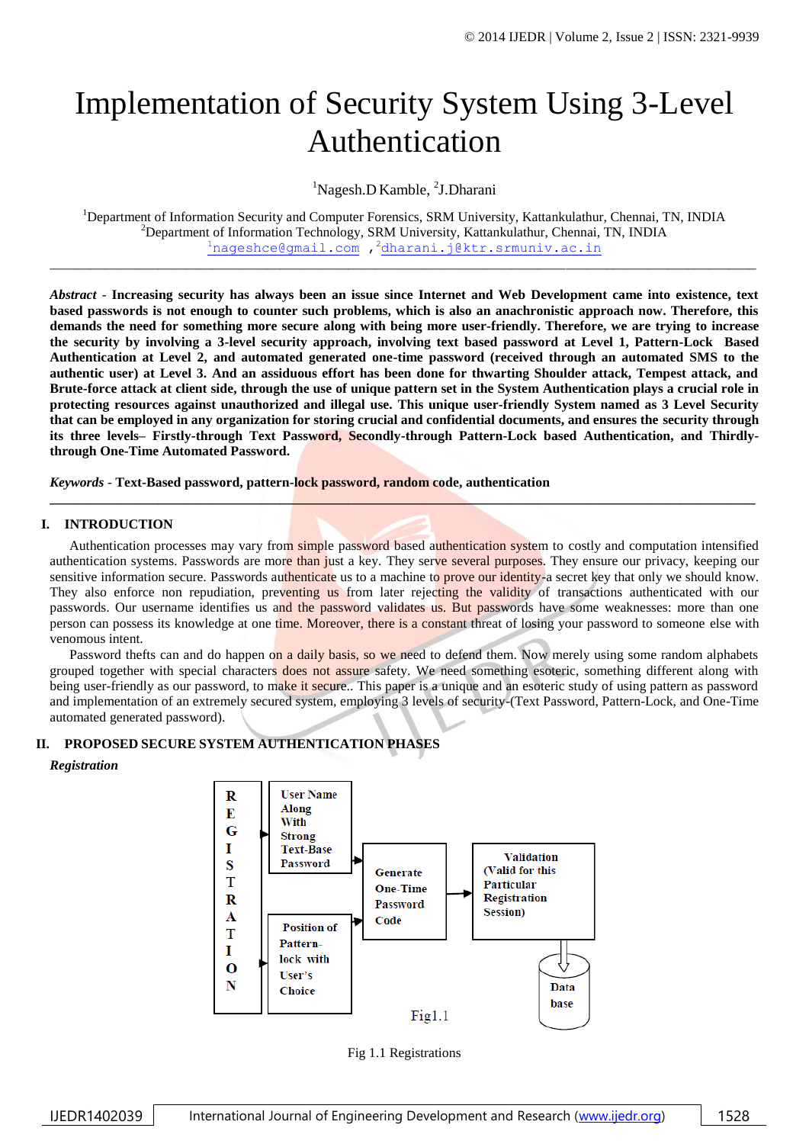# Implementation of Security System Using 3-Level Authentication

<sup>1</sup>Nagesh.D Kamble, <sup>2</sup>J.Dharani

<sup>1</sup>Department of Information Security and Computer Forensics, SRM University, Kattankulathur, Chennai, TN, INDIA <sup>2</sup>Department of Information Technology, SRM University, Kattankulathur, Chennai, TN, INDIA  $1$ [nageshce@gmail.com](mailto:1nageshce@gmail.com) , 2<dharani.j@ktr.srmuniv.ac.in>

\_\_\_\_\_\_\_\_\_\_\_\_\_\_\_\_\_\_\_\_\_\_\_\_\_\_\_\_\_\_\_\_\_\_\_\_\_\_\_\_\_\_\_\_\_\_\_\_\_\_\_\_\_\_\_\_\_\_\_\_\_\_\_\_\_\_\_\_\_\_\_\_\_\_\_\_\_\_\_\_\_\_\_\_\_\_\_\_\_\_\_\_\_\_\_\_\_\_\_\_\_\_\_\_

*Abstract* - **Increasing security has always been an issue since Internet and Web Development came into existence, text based passwords is not enough to counter such problems, which is also an anachronistic approach now. Therefore, this demands the need for something more secure along with being more user-friendly. Therefore, we are trying to increase the security by involving a 3-level security approach, involving text based password at Level 1, Pattern-Lock Based Authentication at Level 2, and automated generated one-time password (received through an automated SMS to the authentic user) at Level 3. And an assiduous effort has been done for thwarting Shoulder attack, Tempest attack, and Brute-force attack at client side, through the use of unique pattern set in the System Authentication plays a crucial role in protecting resources against unauthorized and illegal use. This unique user-friendly System named as 3 Level Security that can be employed in any organization for storing crucial and confidential documents, and ensures the security through its three levels– Firstly-through Text Password, Secondly-through Pattern-Lock based Authentication, and Thirdlythrough One-Time Automated Password.**

*Keywords* - **Text-Based password, pattern-lock password, random code, authentication**

# **I. INTRODUCTION**

Authentication processes may vary from simple password based authentication system to costly and computation intensified authentication systems. Passwords are more than just a key. They serve several purposes. They ensure our privacy, keeping our sensitive information secure. Passwords authenticate us to a machine to prove our identity-a secret key that only we should know. They also enforce non repudiation, preventing us from later rejecting the validity of transactions authenticated with our passwords. Our username identifies us and the password validates us. But passwords have some weaknesses: more than one person can possess its knowledge at one time. Moreover, there is a constant threat of losing your password to someone else with venomous intent.

**\_\_\_\_\_\_\_\_\_\_\_\_\_\_\_\_\_\_\_\_\_\_\_\_\_\_\_\_\_\_\_\_\_\_\_\_\_\_\_\_\_\_\_\_\_\_\_\_\_\_\_\_\_\_\_\_\_\_\_\_\_\_\_\_\_\_\_\_\_\_\_\_\_\_\_\_\_\_\_\_\_\_\_\_\_\_\_\_\_\_\_\_\_\_\_\_\_\_\_\_\_\_\_\_**

Password thefts can and do happen on a daily basis, so we need to defend them. Now merely using some random alphabets grouped together with special characters does not assure safety. We need something esoteric, something different along with being user-friendly as our password, to make it secure.. This paper is a unique and an esoteric study of using pattern as password and implementation of an extremely secured system, employing 3 levels of security-(Text Password, Pattern-Lock, and One-Time automated generated password).

# **II. PROPOSED SECURE SYSTEM AUTHENTICATION PHASES**

*Registration*



Fig 1.1 Registrations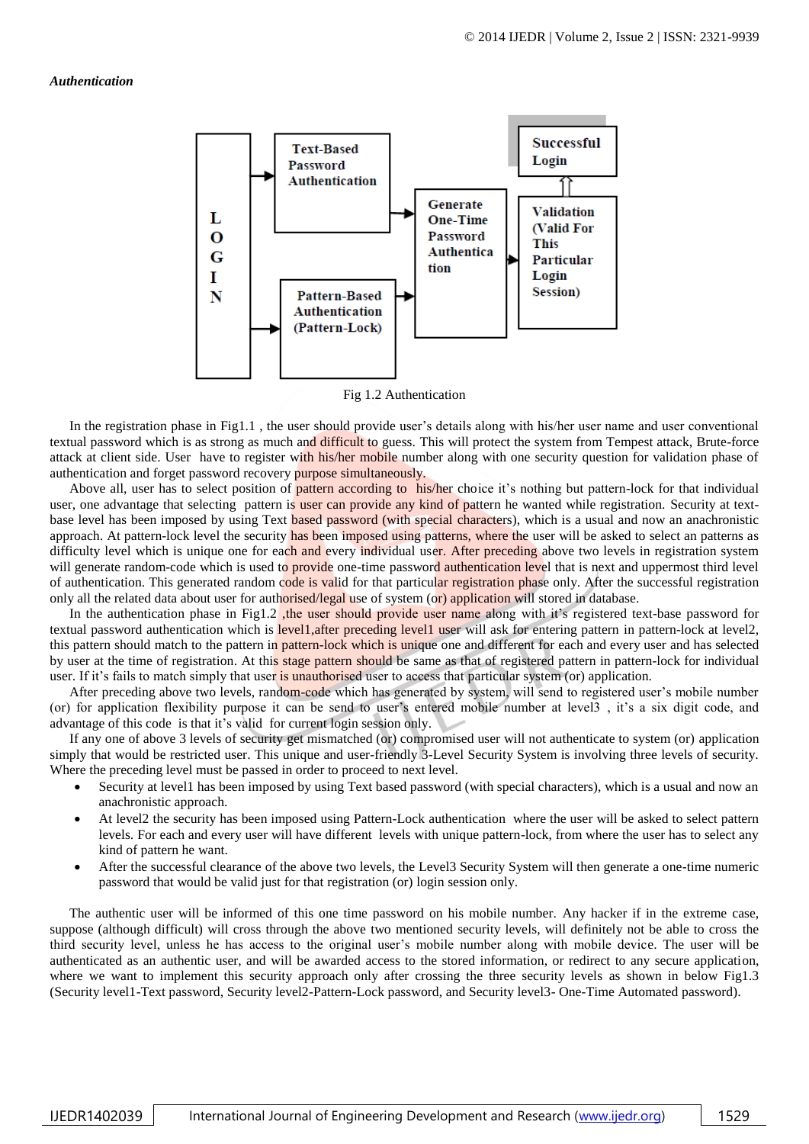#### *Authentication*



Fig 1.2 Authentication

In the registration phase in Fig1.1 , the user should provide user's details along with his/her user name and user conventional textual password which is as strong as much and difficult to guess. This will protect the system from Tempest attack, Brute-force attack at client side. User have to register with his/her mobile number along with one security question for validation phase of authentication and forget password recovery purpose simultaneously.

Above all, user has to select position of pattern according to his/her choice it's nothing but pattern-lock for that individual user, one advantage that selecting pattern is user can provide any kind of pattern he wanted while registration. Security at textbase level has been imposed by using Text based password (with special characters), which is a usual and now an anachronistic approach. At pattern-lock level the security has been imposed using patterns, where the user will be asked to select an patterns as difficulty level which is unique one for each and every individual user. After preceding above two levels in registration system will generate random-code which is used to provide one-time password authentication level that is next and uppermost third level of authentication. This generated random code is valid for that particular registration phase only. After the successful registration only all the related data about user for authorised/legal use of system (or) application will stored in database.

In the authentication phase in Fig1.2 , the user should provide user name along with it's registered text-base password for textual password authentication which is level1,after preceding level1 user will ask for entering pattern in pattern-lock at level2, this pattern should match to the pattern in pattern-lock which is unique one and different for each and every user and has selected by user at the time of registration. At this stage pattern should be same as that of registered pattern in pattern-lock for individual user. If it's fails to match simply that user is unauthorised user to access that particular system (or) application.

After preceding above two levels, random-code which has generated by system, will send to registered user's mobile number (or) for application flexibility purpose it can be send to user's entered mobile number at level3 , it's a six digit code, and advantage of this code is that it's valid for current login session only.

If any one of above 3 levels of security get mismatched (or) compromised user will not authenticate to system (or) application simply that would be restricted user. This unique and user-friendly 3-Level Security System is involving three levels of security. Where the preceding level must be passed in order to proceed to next level.

- Security at level1 has been imposed by using Text based password (with special characters), which is a usual and now an anachronistic approach.
- At level2 the security has been imposed using Pattern-Lock authentication where the user will be asked to select pattern levels. For each and every user will have different levels with unique pattern-lock, from where the user has to select any kind of pattern he want.
- After the successful clearance of the above two levels, the Level3 Security System will then generate a one-time numeric password that would be valid just for that registration (or) login session only.

The authentic user will be informed of this one time password on his mobile number. Any hacker if in the extreme case, suppose (although difficult) will cross through the above two mentioned security levels, will definitely not be able to cross the third security level, unless he has access to the original user's mobile number along with mobile device. The user will be authenticated as an authentic user, and will be awarded access to the stored information, or redirect to any secure application, where we want to implement this security approach only after crossing the three security levels as shown in below Fig1.3 (Security level1-Text password, Security level2-Pattern-Lock password, and Security level3- One-Time Automated password).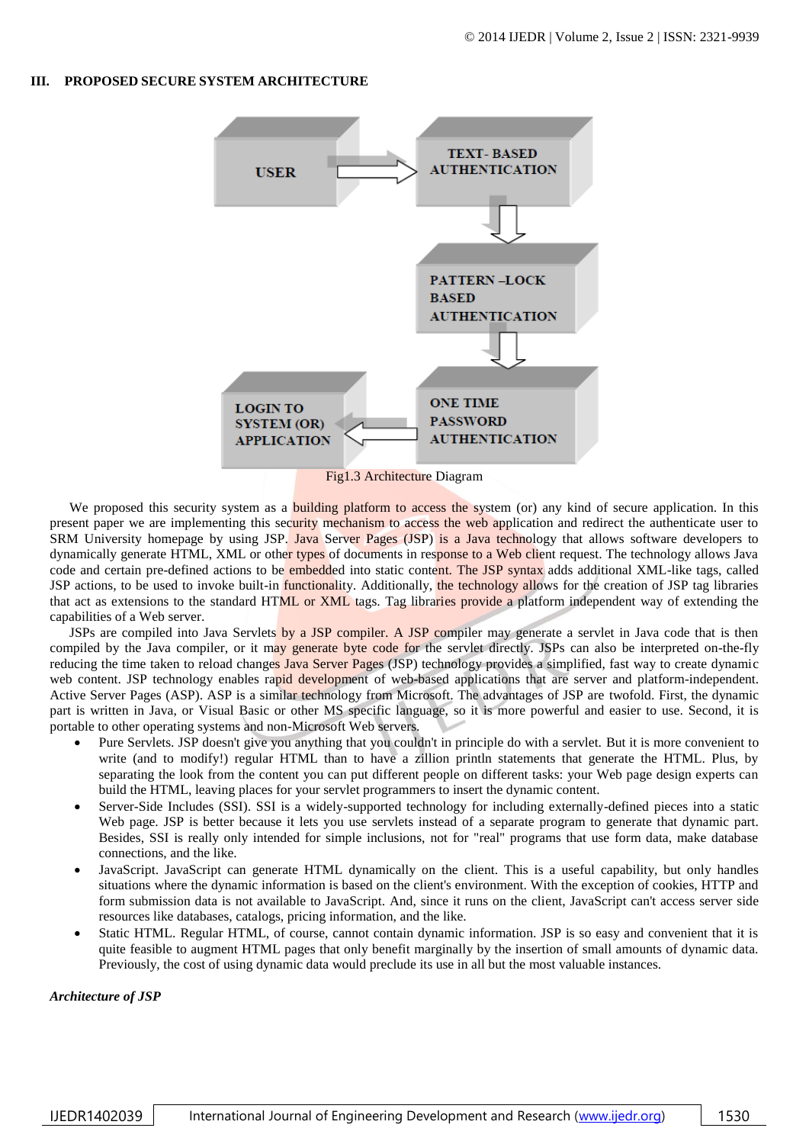### **III. PROPOSED SECURE SYSTEM ARCHITECTURE**



We proposed this security system as a building platform to access the system (or) any kind of secure application. In this present paper we are implementing this security mechanism to access the web application and redirect the authenticate user to SRM University homepage by using JSP. Java Server Pages (JSP) is a Java technology that allows software developers to dynamically generate HTML, XML or other types of documents in response to a Web client request. The technology allows Java code and certain pre-defined actions to be embedded into static content. The JSP syntax adds additional XML-like tags, called JSP actions, to be used to invoke built-in *functionality*. Additionally, the technology allows for the creation of JSP tag libraries that act as extensions to the standard HTML or XML tags. Tag libraries provide a platform independent way of extending the capabilities of a Web server.

JSPs are compiled into Java Servlets by a JSP compiler. A JSP compiler may generate a servlet in Java code that is then compiled by the Java compiler, or it may generate byte code for the servlet directly. JSPs can also be interpreted on-the-fly reducing the time taken to reload changes Java Server Pages (JSP) technology provides a simplified, fast way to create dynamic web content. JSP technology enables rapid development of web-based applications that are server and platform-independent. Active Server Pages (ASP). ASP is a similar technology from Microsoft. The advantages of JSP are twofold. First, the dynamic part is written in Java, or Visual Basic or other MS specific language, so it is more powerful and easier to use. Second, it is portable to other operating systems and non-Microsoft Web servers.

- Pure Servlets. JSP doesn't give you anything that you couldn't in principle do with a servlet. But it is more convenient to write (and to modify!) regular HTML than to have a zillion println statements that generate the HTML. Plus, by separating the look from the content you can put different people on different tasks: your Web page design experts can build the HTML, leaving places for your servlet programmers to insert the dynamic content.
- Server-Side Includes (SSI). SSI is a widely-supported technology for including externally-defined pieces into a static Web page. JSP is better because it lets you use servlets instead of a separate program to generate that dynamic part. Besides, SSI is really only intended for simple inclusions, not for "real" programs that use form data, make database connections, and the like.
- JavaScript. JavaScript can generate HTML dynamically on the client. This is a useful capability, but only handles situations where the dynamic information is based on the client's environment. With the exception of cookies, HTTP and form submission data is not available to JavaScript. And, since it runs on the client, JavaScript can't access server side resources like databases, catalogs, pricing information, and the like.
- Static HTML. Regular HTML, of course, cannot contain dynamic information. JSP is so easy and convenient that it is quite feasible to augment HTML pages that only benefit marginally by the insertion of small amounts of dynamic data. Previously, the cost of using dynamic data would preclude its use in all but the most valuable instances.

*Architecture of JSP*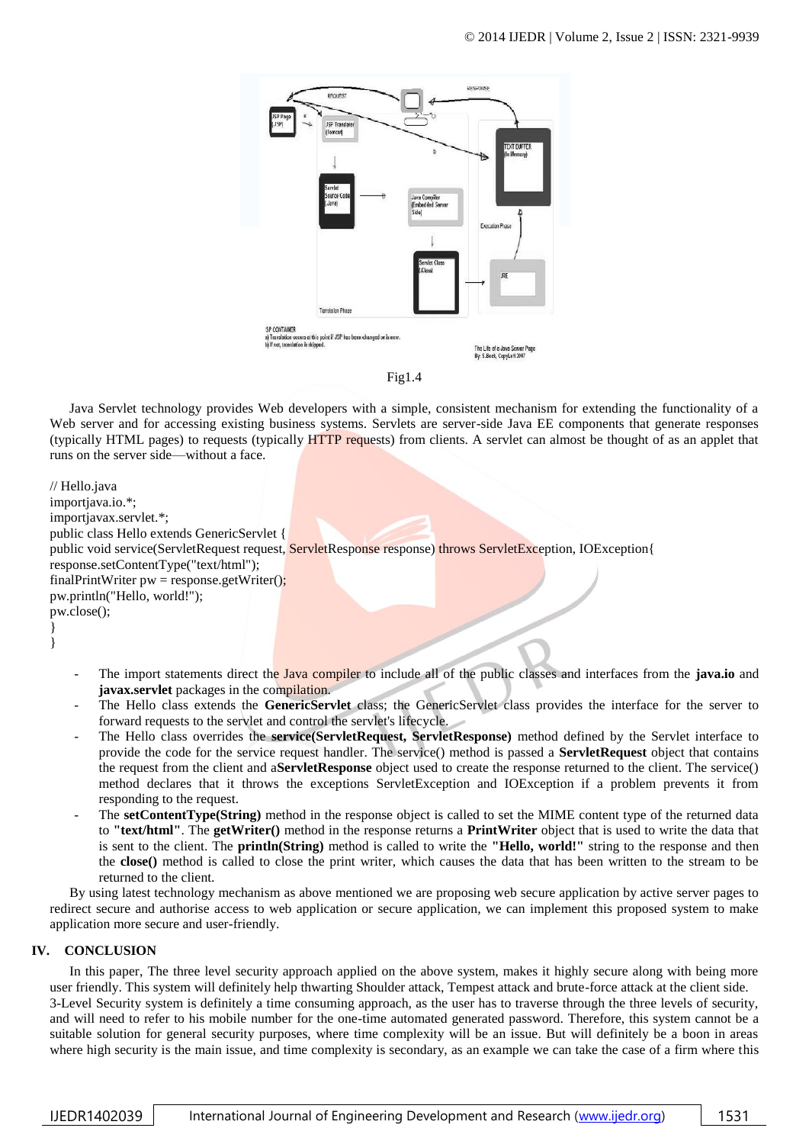



Java Servlet technology provides Web developers with a simple, consistent mechanism for extending the functionality of a Web server and for accessing existing business systems. Servlets are server-side Java EE components that generate responses (typically HTML pages) to requests (typically HTTP requests) from clients. A servlet can almost be thought of as an applet that runs on the server side—without a face.

// Hello.java importjava.io.\*; importjavax.servlet.\*; public class Hello extends GenericServlet { public void service(ServletRequest request, ServletResponse response) throws ServletException, IOException{ response.setContentType("text/html"); finalPrintWriter  $pw =$  response.getWriter(); pw.println("Hello, world!"); pw.close(); } }

- The import statements direct the Java compiler to include all of the public classes and interfaces from the **java.io** and **javax.servlet** packages in the compilation.
- The Hello class extends the **GenericServlet** class; the GenericServlet class provides the interface for the server to forward requests to the servlet and control the servlet's lifecycle.
- The Hello class overrides the **service(ServletRequest, ServletResponse)** method defined by the Servlet interface to provide the code for the service request handler. The service() method is passed a **ServletRequest** object that contains the request from the client and a**ServletResponse** object used to create the response returned to the client. The service() method declares that it throws the exceptions ServletException and IOException if a problem prevents it from responding to the request.
- The **setContentType(String)** method in the response object is called to set the MIME content type of the returned data to **"text/html"**. The **getWriter()** method in the response returns a **PrintWriter** object that is used to write the data that is sent to the client. The **println(String)** method is called to write the **"Hello, world!"** string to the response and then the **close()** method is called to close the print writer, which causes the data that has been written to the stream to be returned to the client.

By using latest technology mechanism as above mentioned we are proposing web secure application by active server pages to redirect secure and authorise access to web application or secure application, we can implement this proposed system to make application more secure and user-friendly.

## **IV. CONCLUSION**

In this paper, The three level security approach applied on the above system, makes it highly secure along with being more user friendly. This system will definitely help thwarting Shoulder attack, Tempest attack and brute-force attack at the client side. 3-Level Security system is definitely a time consuming approach, as the user has to traverse through the three levels of security, and will need to refer to his mobile number for the one-time automated generated password. Therefore, this system cannot be a suitable solution for general security purposes, where time complexity will be an issue. But will definitely be a boon in areas where high security is the main issue, and time complexity is secondary, as an example we can take the case of a firm where this